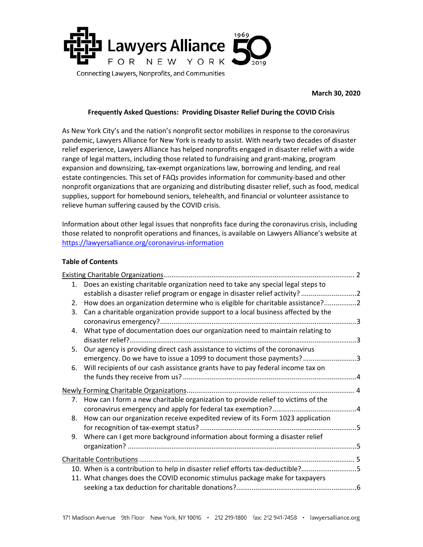

#### **Frequently Asked Questions: Providing Disaster Relief During the COVID Crisis**

As New York City's and the nation's nonprofit sector mobilizes in response to the coronavirus pandemic, Lawyers Alliance for New York is ready to assist. With nearly two decades of disaster relief experience, Lawyers Alliance has helped nonprofits engaged in disaster relief with a wide range of legal matters, including those related to fundraising and grant-making, program expansion and downsizing, tax-exempt organizations law, borrowing and lending, and real estate contingencies. This set of FAQs provides information for community-based and other nonprofit organizations that are organizing and distributing disaster relief, such as food, medical supplies, support for homebound seniors, telehealth, and financial or volunteer assistance to relieve human suffering caused by the COVID crisis.

Information about other legal issues that nonprofits face during the coronavirus crisis, including those related to nonprofit operations and finances, is available on Lawyers Alliance's website at <https://lawyersalliance.org/coronavirus-information>

#### **Table of Contents**

|    | 1. Does an existing charitable organization need to take any special legal steps to                                                                |  |
|----|----------------------------------------------------------------------------------------------------------------------------------------------------|--|
|    | establish a disaster relief program or engage in disaster relief activity?                                                                         |  |
|    | 2. How does an organization determine who is eligible for charitable assistance?2                                                                  |  |
|    | 3. Can a charitable organization provide support to a local business affected by the                                                               |  |
|    | 4. What type of documentation does our organization need to maintain relating to                                                                   |  |
| 5. | Our agency is providing direct cash assistance to victims of the coronavirus<br>emergency. Do we have to issue a 1099 to document those payments?3 |  |
| 6. | Will recipients of our cash assistance grants have to pay federal income tax on                                                                    |  |
|    |                                                                                                                                                    |  |
|    | 7. How can I form a new charitable organization to provide relief to victims of the                                                                |  |
|    |                                                                                                                                                    |  |
|    | 8. How can our organization receive expedited review of its Form 1023 application                                                                  |  |
|    | 9. Where can I get more background information about forming a disaster relief                                                                     |  |
|    |                                                                                                                                                    |  |
|    |                                                                                                                                                    |  |
|    | 10. When is a contribution to help in disaster relief efforts tax-deductible?5                                                                     |  |
|    | 11. What changes does the COVID economic stimulus package make for taxpayers                                                                       |  |
|    |                                                                                                                                                    |  |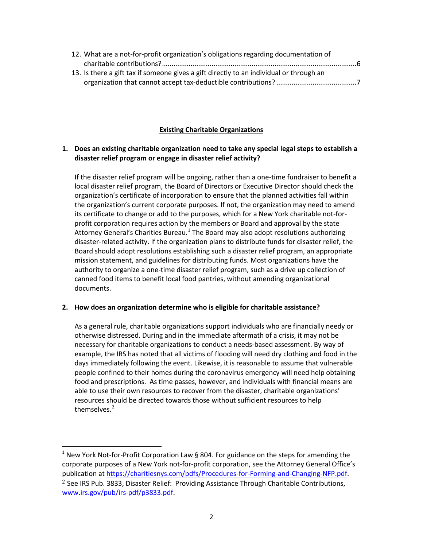| 12. What are a not-for-profit organization's obligations regarding documentation of     |  |
|-----------------------------------------------------------------------------------------|--|
|                                                                                         |  |
| 13. Is there a gift tax if someone gives a gift directly to an individual or through an |  |
|                                                                                         |  |

# **Existing Charitable Organizations**

### **1. Does an existing charitable organization need to take any special legal steps to establish a disaster relief program or engage in disaster relief activity?**

If the disaster relief program will be ongoing, rather than a one-time fundraiser to benefit a local disaster relief program, the Board of Directors or Executive Director should check the organization's certificate of incorporation to ensure that the planned activities fall within the organization's current corporate purposes. If not, the organization may need to amend its certificate to change or add to the purposes, which for a New York charitable not-forprofit corporation requires action by the members or Board and approval by the state Attorney General's Charities Bureau.<sup>[1](#page-1-0)</sup> The Board may also adopt resolutions authorizing disaster-related activity. If the organization plans to distribute funds for disaster relief, the Board should adopt resolutions establishing such a disaster relief program, an appropriate mission statement, and guidelines for distributing funds. Most organizations have the authority to organize a one-time disaster relief program, such as a drive up collection of canned food items to benefit local food pantries, without amending organizational documents.

#### **2. How does an organization determine who is eligible for charitable assistance?**

As a general rule, charitable organizations support individuals who are financially needy or otherwise distressed. During and in the immediate aftermath of a crisis, it may not be necessary for charitable organizations to conduct a needs-based assessment. By way of example, the IRS has noted that all victims of flooding will need dry clothing and food in the days immediately following the event. Likewise, it is reasonable to assume that vulnerable people confined to their homes during the coronavirus emergency will need help obtaining food and prescriptions. As time passes, however, and individuals with financial means are able to use their own resources to recover from the disaster, charitable organizations' resources should be directed towards those without sufficient resources to help themselves.<sup>[2](#page-1-1)</sup>

<span id="page-1-1"></span><span id="page-1-0"></span> $1$  New York Not-for-Profit Corporation Law § 804. For guidance on the steps for amending the corporate purposes of a New York not-for-profit corporation, see the Attorney General Office's publication at [https://charitiesnys.com/pdfs/Procedures-for-Forming-and-Changing-NFP.pdf.](https://charitiesnys.com/pdfs/Procedures-for-Forming-and-Changing-NFP.pdf)  $2$  See IRS Pub. 3833, Disaster Relief: Providing Assistance Through Charitable Contributions, [www.irs.gov/pub/irs-pdf/p3833.pdf.](http://www.irs.gov/pub/irs-pdf/p3833.pdf)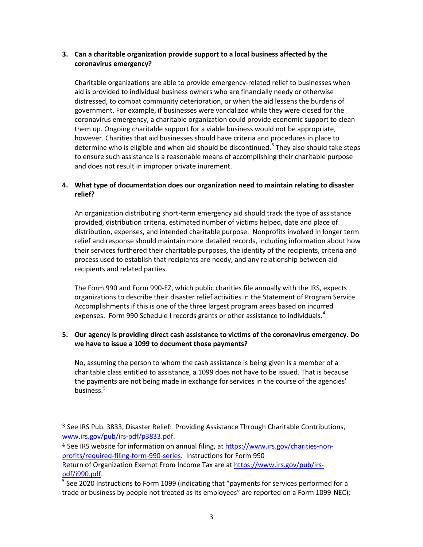# **3. Can a charitable organization provide support to a local business affected by the coronavirus emergency?**

Charitable organizations are able to provide emergency-related relief to businesses when aid is provided to individual business owners who are financially needy or otherwise distressed, to combat community deterioration, or when the aid lessens the burdens of government. For example, if businesses were vandalized while they were closed for the coronavirus emergency, a charitable organization could provide economic support to clean them up. Ongoing charitable support for a viable business would not be appropriate, however. Charities that aid businesses should have criteria and procedures in place to determine who is eligible and when aid should be discontinued.<sup>[3](#page-2-0)</sup> They also should take steps to ensure such assistance is a reasonable means of accomplishing their charitable purpose and does not result in improper private inurement.

# **4. What type of documentation does our organization need to maintain relating to disaster relief?**

An organization distributing short-term emergency aid should track the type of assistance provided, distribution criteria, estimated number of victims helped, date and place of distribution, expenses, and intended charitable purpose. Nonprofits involved in longer term relief and response should maintain more detailed records, including information about how their services furthered their charitable purposes, the identity of the recipients, criteria and process used to establish that recipients are needy, and any relationship between aid recipients and related parties.

The Form 990 and Form 990-EZ, which public charities file annually with the IRS, expects organizations to describe their disaster relief activities in the Statement of Program Service Accomplishments if this is one of the three largest program areas based on incurred expenses. Form 990 Schedule I records grants or other assistance to individuals.<sup>[4](#page-2-1)</sup>

### **5. Our agency is providing direct cash assistance to victims of the coronavirus emergency. Do we have to issue a 1099 to document those payments?**

No, assuming the person to whom the cash assistance is being given is a member of a charitable class entitled to assistance, a 1099 does not have to be issued. That is because the payments are not being made in exchange for services in the course of the agencies' business. $5$ 

<span id="page-2-0"></span> $3$  See IRS Pub. 3833, Disaster Relief: Providing Assistance Through Charitable Contributions, [www.irs.gov/pub/irs-pdf/p3833.pdf.](http://www.irs.gov/pub/irs-pdf/p3833.pdf)

<span id="page-2-1"></span><sup>4</sup> See IRS website for information on annual filing, at [https://www.irs.gov/charities-non](https://www.irs.gov/charities-non-profits/required-filing-form-990-series)[profits/required-filing-form-990-series.](https://www.irs.gov/charities-non-profits/required-filing-form-990-series) Instructions for Form 990

Return of Organization Exempt From Income Tax are at [https://www.irs.gov/pub/irs](https://www.irs.gov/pub/irs-pdf/i990.pdf)[pdf/i990.pdf.](https://www.irs.gov/pub/irs-pdf/i990.pdf)<br><sup>5</sup> See 2020 Instructions to Form 1099 (indicating that "payments for services performed for a

<span id="page-2-2"></span>trade or business by people not treated as its employees" are reported on a Form 1099-NEC);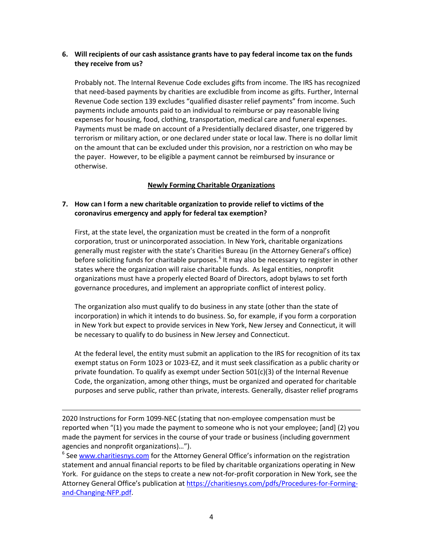### **6. Will recipients of our cash assistance grants have to pay federal income tax on the funds they receive from us?**

Probably not. The Internal Revenue Code excludes gifts from income. The IRS has recognized that need-based payments by charities are excludible from income as gifts. Further, Internal Revenue Code section 139 excludes "qualified disaster relief payments" from income. Such payments include amounts paid to an individual to reimburse or pay reasonable living expenses for housing, food, clothing, transportation, medical care and funeral expenses. Payments must be made on account of a Presidentially declared disaster, one triggered by terrorism or military action, or one declared under state or local law. There is no dollar limit on the amount that can be excluded under this provision, nor a restriction on who may be the payer. However, to be eligible a payment cannot be reimbursed by insurance or otherwise.

### **Newly Forming Charitable Organizations**

### **7. How can I form a new charitable organization to provide relief to victims of the coronavirus emergency and apply for federal tax exemption?**

First, at the state level, the organization must be created in the form of a nonprofit corporation, trust or unincorporated association. In New York, charitable organizations generally must register with the state's Charities Bureau (in the Attorney General's office) before soliciting funds for charitable purposes.<sup>[6](#page-3-0)</sup> It may also be necessary to register in other states where the organization will raise charitable funds. As legal entities, nonprofit organizations must have a properly elected Board of Directors, adopt bylaws to set forth governance procedures, and implement an appropriate conflict of interest policy.

The organization also must qualify to do business in any state (other than the state of incorporation) in which it intends to do business. So, for example, if you form a corporation in New York but expect to provide services in New York, New Jersey and Connecticut, it will be necessary to qualify to do business in New Jersey and Connecticut.

At the federal level, the entity must submit an application to the IRS for recognition of its tax exempt status on Form 1023 or 1023-EZ, and it must seek classification as a public charity or private foundation. To qualify as exempt under Section  $501(c)(3)$  of the Internal Revenue Code, the organization, among other things, must be organized and operated for charitable purposes and serve public, rather than private, interests. Generally, disaster relief programs

I 2020 Instructions for Form 1099-NEC (stating that non-employee compensation must be reported when "(1) you made the payment to someone who is not your employee; [and] (2) you made the payment for services in the course of your trade or business (including government agencies and nonprofit organizations)…").

<span id="page-3-0"></span><sup>6</sup> Se[e www.charitiesnys.com](http://www.charitiesnys.com/) for the Attorney General Office's information on the registration statement and annual financial reports to be filed by charitable organizations operating in New York. For guidance on the steps to create a new not-for-profit corporation in New York, see the Attorney General Office's publication at [https://charitiesnys.com/pdfs/Procedures-for-Forming](https://charitiesnys.com/pdfs/Procedures-for-Forming-and-Changing-NFP.pdf)[and-Changing-NFP.pdf.](https://charitiesnys.com/pdfs/Procedures-for-Forming-and-Changing-NFP.pdf)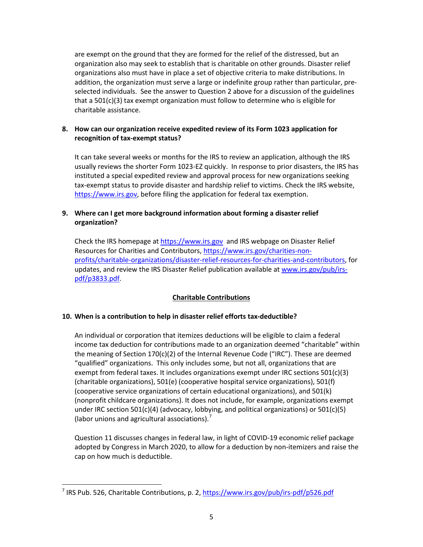are exempt on the ground that they are formed for the relief of the distressed, but an organization also may seek to establish that is charitable on other grounds. Disaster relief organizations also must have in place a set of objective criteria to make distributions. In addition, the organization must serve a large or indefinite group rather than particular, preselected individuals. See the answer to Question 2 above for a discussion of the guidelines that a 501(c)(3) tax exempt organization must follow to determine who is eligible for charitable assistance.

# **8. How can our organization receive expedited review of its Form 1023 application for recognition of tax-exempt status?**

It can take several weeks or months for the IRS to review an application, although the IRS usually reviews the shorter Form 1023-EZ quickly. In response to prior disasters, the IRS has instituted a special expedited review and approval process for new organizations seeking tax-exempt status to provide disaster and hardship relief to victims. Check the IRS website, [https://www.irs.gov,](https://www.irs.gov/) before filing the application for federal tax exemption.

# **9. Where can I get more background information about forming a disaster relief organization?**

Check the IRS homepage a[t https://www.irs.gov](https://www.irs.gov/) and IRS webpage on Disaster Relief Resources for Charities and Contributors[, https://www.irs.gov/charities-non](https://www.irs.gov/charities-non-profits/charitable-organizations/disaster-relief-resources-for-charities-and-contributors)[profits/charitable-organizations/disaster-relief-resources-for-charities-and-contributors,](https://www.irs.gov/charities-non-profits/charitable-organizations/disaster-relief-resources-for-charities-and-contributors) for updates, and review the IRS Disaster Relief publication available a[t www.irs.gov/pub/irs](http://www.irs.gov/pub/irs-pdf/p3833.pdf)[pdf/p3833.pdf.](http://www.irs.gov/pub/irs-pdf/p3833.pdf)

# **Charitable Contributions**

# **10. When is a contribution to help in disaster relief efforts tax-deductible?**

An individual or corporation that itemizes deductions will be eligible to claim a federal income tax deduction for contributions made to an organization deemed "charitable" within the meaning of Section 170(c)(2) of the Internal Revenue Code ("IRC"). These are deemed "qualified" organizations. This only includes some, but not all, organizations that are exempt from federal taxes. It includes organizations exempt under IRC sections 501(c)(3) (charitable organizations), 501(e) (cooperative hospital service organizations), 501(f) (cooperative service organizations of certain educational organizations), and 501(k) (nonprofit childcare organizations). It does not include, for example, organizations exempt under IRC section 501(c)(4) (advocacy, lobbying, and political organizations) or 501(c)(5) (labor unions and agricultural associations).<sup>[7](#page-4-0)</sup>

Question 11 discusses changes in federal law, in light of COVID-19 economic relief package adopted by Congress in March 2020, to allow for a deduction by non-itemizers and raise the cap on how much is deductible.

<span id="page-4-0"></span><sup>&</sup>lt;sup>7</sup> IRS Pub. 526, Charitable Contributions, p. 2[, https://www.irs.gov/pub/irs-pdf/p526.pdf](https://www.irs.gov/pub/irs-pdf/p526.pdf)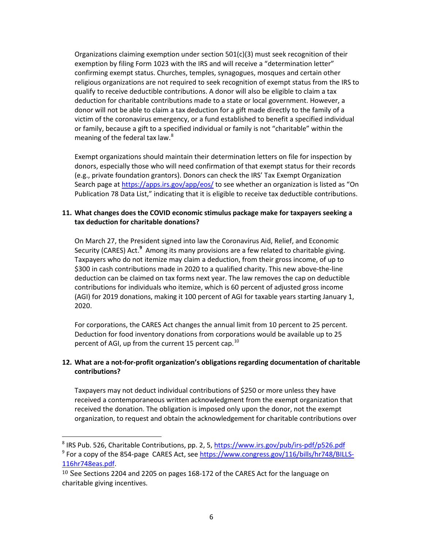Organizations claiming exemption under section  $501(c)(3)$  must seek recognition of their exemption by filing Form 1023 with the IRS and will receive a "determination letter" confirming exempt status. Churches, temples, synagogues, mosques and certain other religious organizations are not required to seek recognition of exempt status from the IRS to qualify to receive deductible contributions. A donor will also be eligible to claim a tax deduction for charitable contributions made to a state or local government. However, a donor will not be able to claim a tax deduction for a gift made directly to the family of a victim of the coronavirus emergency, or a fund established to benefit a specified individual or family, because a gift to a specified individual or family is not "charitable" within the meaning of the federal tax law.<sup>[8](#page-5-0)</sup>

Exempt organizations should maintain their determination letters on file for inspection by donors, especially those who will need confirmation of that exempt status for their records (e.g., private foundation grantors). Donors can check the IRS' Tax Exempt Organization Search page at<https://apps.irs.gov/app/eos/> to see whether an organization is listed as "On Publication 78 Data List," indicating that it is eligible to receive tax deductible contributions.

### **11. What changes does the COVID economic stimulus package make for taxpayers seeking a tax deduction for charitable donations?**

On March 27, the President signed into law the Coronavirus Aid, Relief, and Economic Security (CARES) Act.<sup>[9](#page-5-1)</sup> Among its many provisions are a few related to charitable giving. Taxpayers who do not itemize may claim a deduction, from their gross income, of up to \$300 in cash contributions made in 2020 to a qualified charity. This new above-the-line deduction can be claimed on tax forms next year. The law removes the cap on deductible contributions for individuals who itemize, which is 60 percent of adjusted gross income (AGI) for 2019 donations, making it 100 percent of AGI for taxable years starting January 1, 2020.

For corporations, the CARES Act changes the annual limit from 10 percent to 25 percent. Deduction for food inventory donations from corporations would be available up to 25 percent of AGI, up from the current 15 percent cap.<sup>[10](#page-5-2)</sup>

### **12. What are a not-for-profit organization's obligations regarding documentation of charitable contributions?**

Taxpayers may not deduct individual contributions of \$250 or more unless they have received a contemporaneous written acknowledgment from the exempt organization that received the donation. The obligation is imposed only upon the donor, not the exempt organization, to request and obtain the acknowledgement for charitable contributions over

<span id="page-5-1"></span><span id="page-5-0"></span><sup>&</sup>lt;sup>8</sup> IRS Pub. 526, Charitable Contributions, pp. 2, 5,<https://www.irs.gov/pub/irs-pdf/p526.pdf> <sup>9</sup> For a copy of the 854-page CARES Act, see [https://www.congress.gov/116/bills/hr748/BILLS-](https://www.congress.gov/116/bills/hr748/BILLS-116hr748eas.pdf)[116hr748eas.pdf.](https://www.congress.gov/116/bills/hr748/BILLS-116hr748eas.pdf)

<span id="page-5-2"></span> $10$  See Sections 2204 and 2205 on pages 168-172 of the CARES Act for the language on charitable giving incentives.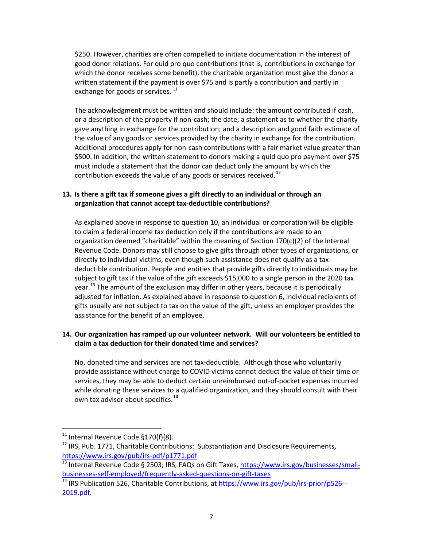\$250. However, charities are often compelled to initiate documentation in the interest of good donor relations. For quid pro quo contributions (that is, contributions in exchange for which the donor receives some benefit), the charitable organization must give the donor a written statement if the payment is over \$75 and is partly a contribution and partly in exchange for goods or services.  $11$ 

The acknowledgment must be written and should include: the amount contributed if cash, or a description of the property if non-cash; the date; a statement as to whether the charity gave anything in exchange for the contribution; and a description and good faith estimate of the value of any goods or services provided by the charity in exchange for the contribution. Additional procedures apply for non-cash contributions with a fair market value greater than \$500. In addition, the written statement to donors making a quid quo pro payment over \$75 must include a statement that the donor can deduct only the amount by which the contribution exceeds the value of any goods or services received. $^{12}$  $^{12}$  $^{12}$ 

# **13. Is there a gift tax if someone gives a gift directly to an individual or through an organization that cannot accept tax-deductible contributions?**

As explained above in response to question 10, an individual or corporation will be eligible to claim a federal income tax deduction only if the contributions are made to an organization deemed "charitable" within the meaning of Section  $170(c)(2)$  of the Internal Revenue Code. Donors may still choose to give gifts through other types of organizations, or directly to individual victims, even though such assistance does not qualify as a taxdeductible contribution. People and entities that provide gifts directly to individuals may be subject to gift tax if the value of the gift exceeds \$15,000 to a single person in the 2020 tax year.<sup>[13](#page-6-2)</sup> The amount of the exclusion may differ in other years, because it is periodically adjusted for inflation. As explained above in response to question 6, individual recipients of gifts usually are not subject to tax on the value of the gift, unless an employer provides the assistance for the benefit of an employee.

# **14. Our organization has ramped up our volunteer network. Will our volunteers be entitled to claim a tax deduction for their donated time and services?**

No, donated time and services are not tax-deductible. Although those who voluntarily provide assistance without charge to COVID victims cannot deduct the value of their time or services, they may be able to deduct certain unreimbursed out-of-pocket expenses incurred while donating these services to a qualified organization, and they should consult with their own tax advisor about specifics. **[14](#page-6-3)**

<span id="page-6-0"></span> $11$  Internal Revenue Code §170(f)(8).

<span id="page-6-1"></span> $12$  IRS, Pub. 1771, Charitable Contributions: Substantiation and Disclosure Requirements, <https://www.irs.gov/pub/irs-pdf/p1771.pdf>

<span id="page-6-2"></span><sup>&</sup>lt;sup>13</sup> Internal Revenue Code § 2503; IRS, FAQs on Gift Taxes, [https://www.irs.gov/businesses/small](https://www.irs.gov/businesses/small-businesses-self-employed/frequently-asked-questions-on-gift-taxes)[businesses-self-employed/frequently-asked-questions-on-gift-taxes](https://www.irs.gov/businesses/small-businesses-self-employed/frequently-asked-questions-on-gift-taxes)

<span id="page-6-3"></span><sup>&</sup>lt;sup>14</sup> IRS Publication 526, Charitable Contributions, a[t https://www.irs.gov/pub/irs-prior/p526--](https://www.irs.gov/pub/irs-prior/p526--2019.pdf) [2019.pdf.](https://www.irs.gov/pub/irs-prior/p526--2019.pdf)